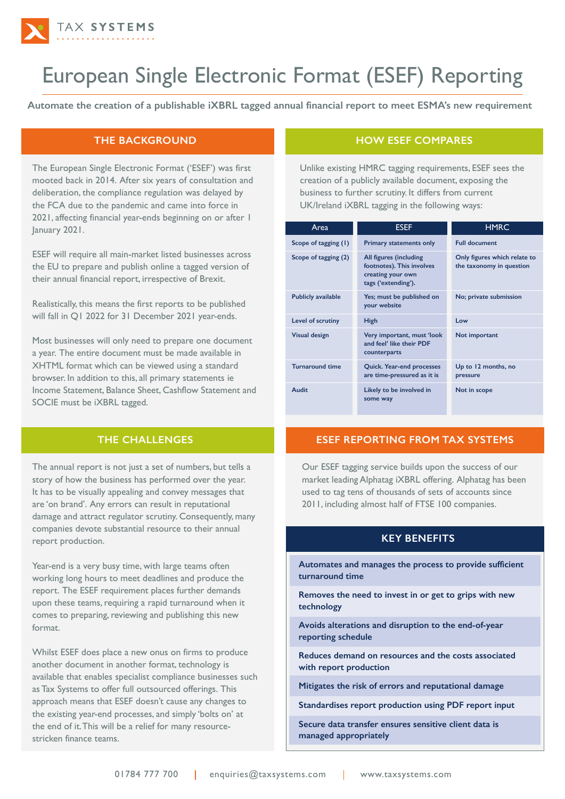

# European Single Electronic Format (ESEF) Reporting

**Automate the creation of a publishable iXBRL tagged annual financial report to meet ESMA's new requirement**

## **THE BACKGROUND**

The European Single Electronic Format ('ESEF') was first mooted back in 2014. After six years of consultation and deliberation, the compliance regulation was delayed by the FCA due to the pandemic and came into force in 2021, affecting financial year-ends beginning on or after 1 January 2021.

ESEF will require all main-market listed businesses across the EU to prepare and publish online a tagged version of their annual financial report, irrespective of Brexit.

Realistically, this means the first reports to be published will fall in Q1 2022 for 31 December 2021 year-ends.

Most businesses will only need to prepare one document a year. The entire document must be made available in XHTML format which can be viewed using a standard browser. In addition to this, all primary statements ie Income Statement, Balance Sheet, Cashflow Statement and SOCIE must be iXBRL tagged.

## **THE CHALLENGES**

The annual report is not just a set of numbers, but tells a story of how the business has performed over the year. It has to be visually appealing and convey messages that are 'on brand'. Any errors can result in reputational damage and attract regulator scrutiny. Consequently, many companies devote substantial resource to their annual report production.

Year-end is a very busy time, with large teams often working long hours to meet deadlines and produce the report. The ESEF requirement places further demands upon these teams, requiring a rapid turnaround when it comes to preparing, reviewing and publishing this new format.

Whilst ESEF does place a new onus on firms to produce another document in another format, technology is available that enables specialist compliance businesses such as Tax Systems to offer full outsourced offerings. This approach means that ESEF doesn't cause any changes to the existing year-end processes, and simply 'bolts on' at the end of it. This will be a relief for many resourcestricken finance teams.

## **HOW ESEF COMPARES**

Unlike existing HMRC tagging requirements, ESEF sees the creation of a publicly available document, exposing the business to further scrutiny. It differs from current UK/Ireland iXBRL tagging in the following ways:

| Area                      | <b>ESEF</b>                                                                                     | <b>HMRC</b>                                              |
|---------------------------|-------------------------------------------------------------------------------------------------|----------------------------------------------------------|
| Scope of tagging (1)      | <b>Primary statements only</b>                                                                  | <b>Full document</b>                                     |
| Scope of tagging (2)      | All figures (including<br>footnotes). This involves<br>creating your own<br>tags ('extending'). | Only figures which relate to<br>the taxonomy in question |
| <b>Publicly available</b> | Yes; must be published on<br>your website                                                       | No; private submission                                   |
| Level of scrutiny         | High                                                                                            | I ow                                                     |
| <b>Visual design</b>      | Very important, must 'look<br>and feel' like their PDF<br>counterparts                          | Not important                                            |
| <b>Turnaround time</b>    | <b>Quick. Year-end processes</b><br>are time-pressured as it is                                 | Up to 12 months, no<br>pressure                          |
| Audit                     | Likely to be involved in<br>some way                                                            | Not in scope                                             |

## **ESEF REPORTING FROM TAX SYSTEMS**

Our ESEF tagging service builds upon the success of our market leading Alphatag iXBRL offering. Alphatag has been used to tag tens of thousands of sets of accounts since 2011, including almost half of FTSE 100 companies.

## **KEY BENEFITS**

**Automates and manages the process to provide sufficient turnaround time**

**Removes the need to invest in or get to grips with new technology** 

**Avoids alterations and disruption to the end-of-year reporting schedule** 

**Reduces demand on resources and the costs associated with report production** 

**Mitigates the risk of errors and reputational damage**

**Standardises report production using PDF report input**

**Secure data transfer ensures sensitive client data is managed appropriately**